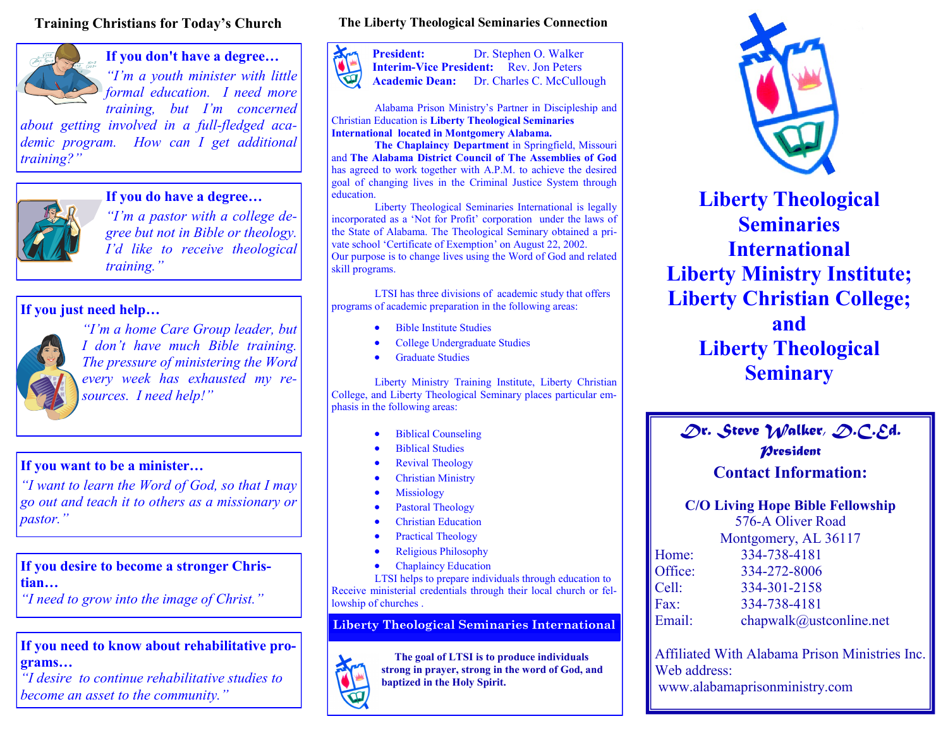#### **Training Christians for Today's Church**



**If you don't have a degree…**

*"I'm a youth minister with little formal education. I need more training, but I'm concerned* 

*about getting involved in a full-fledged academic program. How can I get additional training?"*



**If you do have a degree…**

*"I'm a pastor with a college degree but not in Bible or theology. I'd like to receive theological training."*

#### **If you just need help…**



*"I'm a home Care Group leader, but I don't have much Bible training. The pressure of ministering the Word every week has exhausted my resources. I need help!"*

#### **If you want to be a minister…**

*"I want to learn the Word of God, so that I may go out and teach it to others as a missionary or pastor."*

#### **If you desire to become a stronger Christian…**

*"I need to grow into the image of Christ."*

#### **If you need to know about rehabilitative programs…**

*"I desire to continue rehabilitative studies to become an asset to the community."*

#### **The Liberty Theological Seminaries Connection**



Alabama Prison Ministry's Partner in Discipleship and Christian Education is **Liberty Theological Seminaries International located in Montgomery Alabama.**

**The Chaplaincy Department** in Springfield, Missouri and **The Alabama District Council of The Assemblies of God** has agreed to work together with A.P.M. to achieve the desired goal of changing lives in the Criminal Justice System through education.

Liberty Theological Seminaries International is legally incorporated as a 'Not for Profit' corporation under the laws of the State of Alabama. The Theological Seminary obtained a private school 'Certificate of Exemption' on August 22, 2002. Our purpose is to change lives using the Word of God and related skill programs.

LTSI has three divisions of academic study that offers programs of academic preparation in the following areas:

- Bible Institute Studies
- College Undergraduate Studies
- Graduate Studies

Liberty Ministry Training Institute, Liberty Christian College, and Liberty Theological Seminary places particular emphasis in the following areas:

- Biblical Counseling
- Biblical Studies
- Revival Theology
- Christian Ministry
- Missiology
- Pastoral Theology
- Christian Education
- Practical Theology
- Religious Philosophy
- Chaplaincy Education

LTSI helps to prepare individuals through education to Receive ministerial credentials through their local church or fellowship of churches .

**Liberty Theological Seminaries International**

 **The goal of LTSI is to produce individuals strong in prayer, strong in the word of God, and baptized in the Holy Spirit.**



**Liberty Theological Seminaries International Liberty Ministry Institute; Liberty Christian College; and Liberty Theological Seminary**

### *Dr. Steve Walker, D.C.Ed. President* **Contact Information:**

**C/O Living Hope Bible Fellowship**

576-A Oliver Road

| Montgomery, AL 36117 |  |
|----------------------|--|
|----------------------|--|

| Home:   | 334-738-4181            |
|---------|-------------------------|
| Office: | 334-272-8006            |
| Cell:   | 334-301-2158            |
| Fax:    | 334-738-4181            |
| Email:  | chapwalk@ustconline.net |

Affiliated With Alabama Prison Ministries Inc. Web address: www.alabamaprisonministry.com